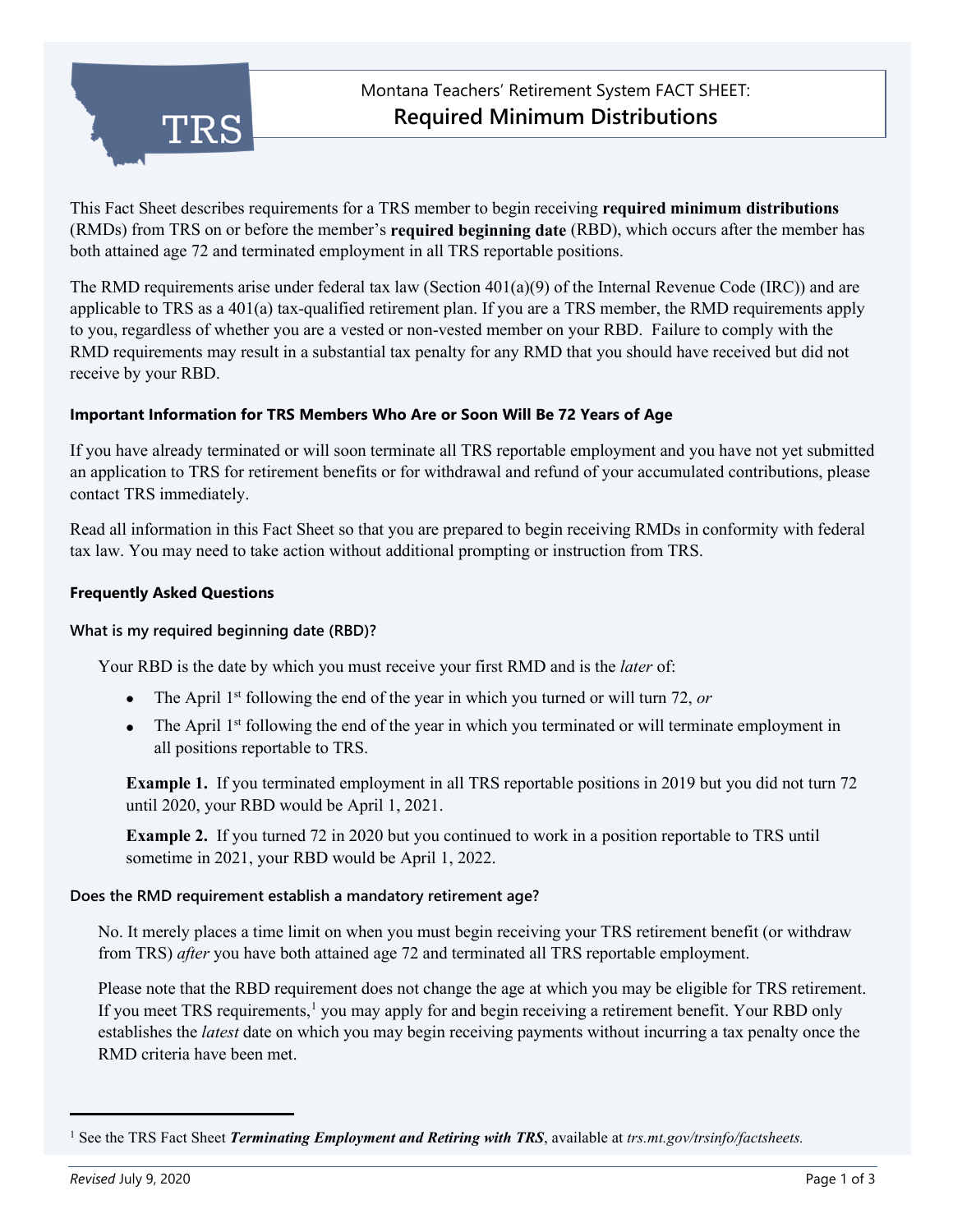

This Fact Sheet describes requirements for a TRS member to begin receiving **required minimum distributions** (RMDs) from TRS on or before the member's **required beginning date** (RBD), which occurs after the member has both attained age 72 and terminated employment in all TRS reportable positions.

The RMD requirements arise under federal tax law (Section  $401(a)(9)$  of the Internal Revenue Code (IRC)) and are applicable to TRS as a 401(a) tax-qualified retirement plan. If you are a TRS member, the RMD requirements apply to you, regardless of whether you are a vested or non-vested member on your RBD. Failure to comply with the RMD requirements may result in a substantial tax penalty for any RMD that you should have received but did not receive by your RBD.

## **Important Information for TRS Members Who Are or Soon Will Be 72 Years of Age**

If you have already terminated or will soon terminate all TRS reportable employment and you have not yet submitted an application to TRS for retirement benefits or for withdrawal and refund of your accumulated contributions, please contact TRS immediately.

Read all information in this Fact Sheet so that you are prepared to begin receiving RMDs in conformity with federal tax law. You may need to take action without additional prompting or instruction from TRS.

## **Frequently Asked Questions**

### **What is my required beginning date (RBD)?**

Your RBD is the date by which you must receive your first RMD and is the *later* of:

- The April 1<sup>st</sup> following the end of the year in which you turned or will turn 72, or
- The April 1<sup>st</sup> following the end of the year in which you terminated or will terminate employment in all positions reportable to TRS.

**Example 1.** If you terminated employment in all TRS reportable positions in 2019 but you did not turn 72 until 2020, your RBD would be April 1, 2021.

**Example 2.** If you turned 72 in 2020 but you continued to work in a position reportable to TRS until sometime in 2021, your RBD would be April 1, 2022.

### **Does the RMD requirement establish a mandatory retirement age?**

No. It merely places a time limit on when you must begin receiving your TRS retirement benefit (or withdraw from TRS) *after* you have both attained age 72 and terminated all TRS reportable employment.

Please note that the RBD requirement does not change the age at which you may be eligible for TRS retirement. If you meet TRS requirements,<sup>[1](#page-0-0)</sup> you may apply for and begin receiving a retirement benefit. Your RBD only establishes the *latest* date on which you may begin receiving payments without incurring a tax penalty once the RMD criteria have been met.

<span id="page-0-0"></span><sup>1</sup> See the TRS Fact Sheet *Terminating Employment and Retiring with TRS*, available at *trs.mt.gov/trsinfo/factsheets.*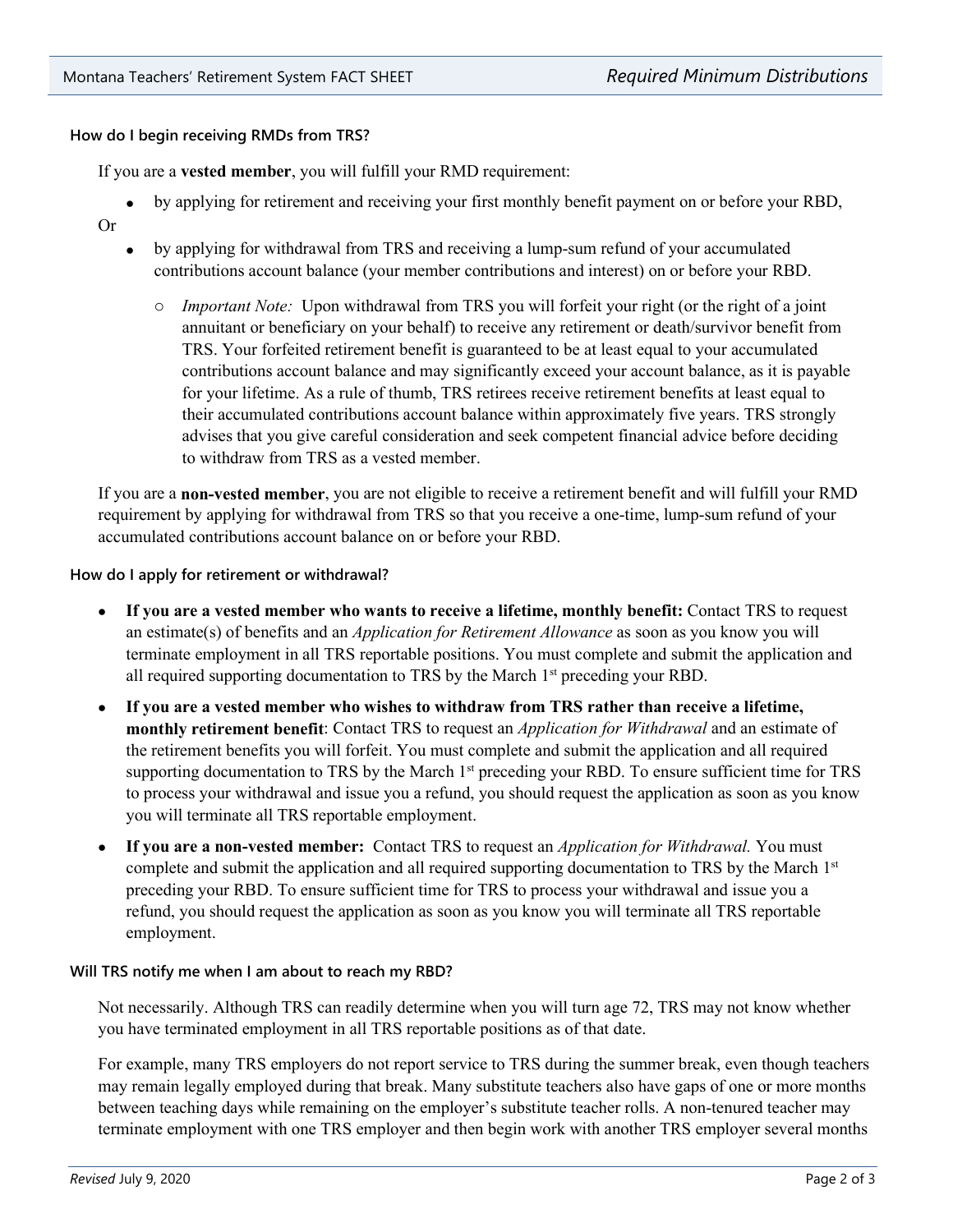# **How do I begin receiving RMDs from TRS?**

If you are a **vested member**, you will fulfill your RMD requirement:

- by applying for retirement and receiving your first monthly benefit payment on or before your RBD,
- Or
- by applying for withdrawal from TRS and receiving a lump-sum refund of your accumulated contributions account balance (your member contributions and interest) on or before your RBD.
	- o *Important Note:* Upon withdrawal from TRS you will forfeit your right (or the right of a joint annuitant or beneficiary on your behalf) to receive any retirement or death/survivor benefit from TRS. Your forfeited retirement benefit is guaranteed to be at least equal to your accumulated contributions account balance and may significantly exceed your account balance, as it is payable for your lifetime. As a rule of thumb, TRS retirees receive retirement benefits at least equal to their accumulated contributions account balance within approximately five years. TRS strongly advises that you give careful consideration and seek competent financial advice before deciding to withdraw from TRS as a vested member.

If you are a **non-vested member**, you are not eligible to receive a retirement benefit and will fulfill your RMD requirement by applying for withdrawal from TRS so that you receive a one-time, lump-sum refund of your accumulated contributions account balance on or before your RBD.

### **How do I apply for retirement or withdrawal?**

- **If you are a vested member who wants to receive a lifetime, monthly benefit:** Contact TRS to request an estimate(s) of benefits and an *Application for Retirement Allowance* as soon as you know you will terminate employment in all TRS reportable positions. You must complete and submit the application and all required supporting documentation to TRS by the March 1<sup>st</sup> preceding your RBD.
- **If you are a vested member who wishes to withdraw from TRS rather than receive a lifetime, monthly retirement benefit**: Contact TRS to request an *Application for Withdrawal* and an estimate of the retirement benefits you will forfeit. You must complete and submit the application and all required supporting documentation to TRS by the March 1<sup>st</sup> preceding your RBD. To ensure sufficient time for TRS to process your withdrawal and issue you a refund, you should request the application as soon as you know you will terminate all TRS reportable employment.
- **If you are a non-vested member:** Contact TRS to request an *Application for Withdrawal.* You must complete and submit the application and all required supporting documentation to TRS by the March 1<sup>st</sup> preceding your RBD. To ensure sufficient time for TRS to process your withdrawal and issue you a refund, you should request the application as soon as you know you will terminate all TRS reportable employment.

# **Will TRS notify me when I am about to reach my RBD?**

Not necessarily. Although TRS can readily determine when you will turn age 72, TRS may not know whether you have terminated employment in all TRS reportable positions as of that date.

For example, many TRS employers do not report service to TRS during the summer break, even though teachers may remain legally employed during that break. Many substitute teachers also have gaps of one or more months between teaching days while remaining on the employer's substitute teacher rolls. A non-tenured teacher may terminate employment with one TRS employer and then begin work with another TRS employer several months